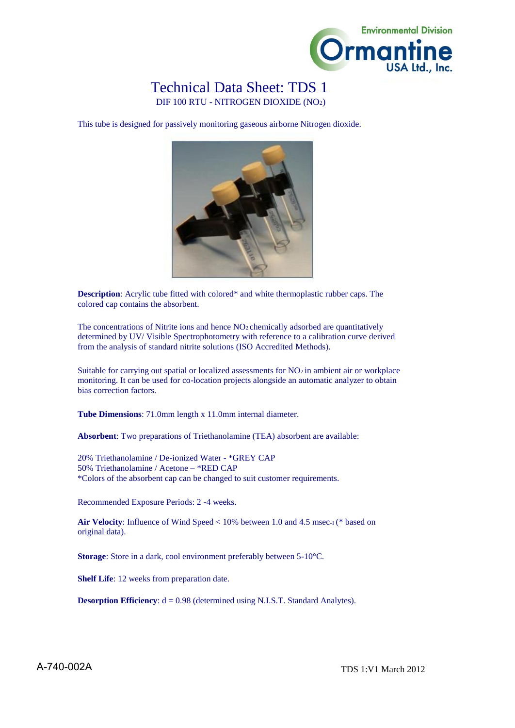

## Technical Data Sheet: TDS 1

DIF 100 RTU - NITROGEN DIOXIDE (NO2)

This tube is designed for passively monitoring gaseous airborne Nitrogen dioxide.



**Description**: Acrylic tube fitted with colored\* and white thermoplastic rubber caps. The colored cap contains the absorbent.

The concentrations of Nitrite ions and hence  $NO<sub>2</sub>$  chemically adsorbed are quantitatively determined by UV/ Visible Spectrophotometry with reference to a calibration curve derived from the analysis of standard nitrite solutions (ISO Accredited Methods).

Suitable for carrying out spatial or localized assessments for  $NO<sub>2</sub>$  in ambient air or workplace monitoring. It can be used for co-location projects alongside an automatic analyzer to obtain bias correction factors.

**Tube Dimensions**: 71.0mm length x 11.0mm internal diameter.

**Absorbent**: Two preparations of Triethanolamine (TEA) absorbent are available:

20% Triethanolamine / De-ionized Water - \*GREY CAP 50% Triethanolamine / Acetone – \*RED CAP \*Colors of the absorbent cap can be changed to suit customer requirements.

Recommended Exposure Periods: 2 -4 weeks.

**Air Velocity**: Influence of Wind Speed < 10% between 1.0 and 4.5 msec-1 (\* based on original data).

**Storage**: Store in a dark, cool environment preferably between 5-10°C.

**Shelf Life**: 12 weeks from preparation date.

**Desorption Efficiency**:  $d = 0.98$  (determined using N.I.S.T. Standard Analytes).